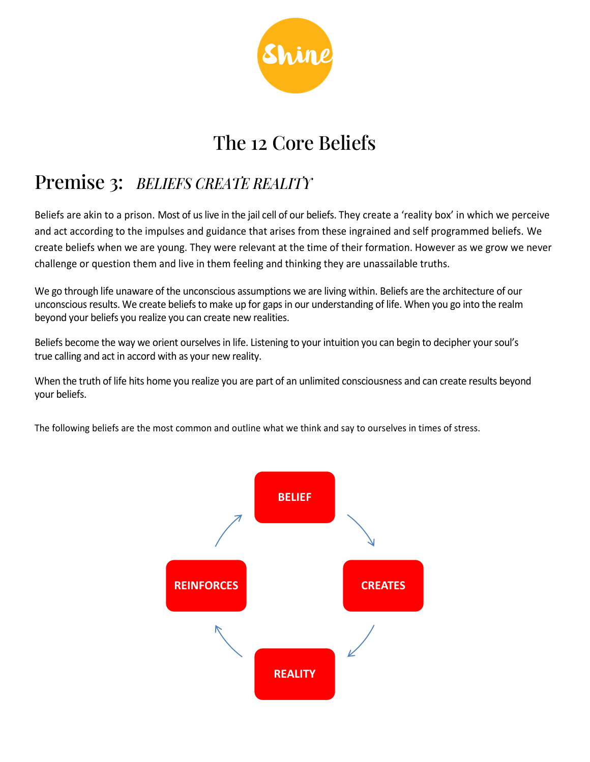

# The 12 Core Beliefs

# Premise 3: *BELIEFS CREATE REALITY*

Beliefs are akin to a prison. Most of us live in the jail cell of our beliefs. They create a 'reality box' in which we perceive and act according to the impulses and guidance that arises from these ingrained and self programmed beliefs. We create beliefs when we are young. They were relevant at the time of their formation. However as we grow we never challenge or question them and live in them feeling and thinking they are unassailable truths.

We go through life unaware of the unconscious assumptions we are living within. Beliefs are the architecture of our unconscious results. We create beliefs to make up for gaps in our understanding of life. When you go into the realm beyond your beliefs you realize you can create new realities.

Beliefs become the way we orient ourselves in life. Listening to your intuition you can begin to decipher your soul's true calling and act in accord with as your new reality.

When the truth of life hits home you realize you are part of an unlimited consciousness and can create results beyond your beliefs.

The following beliefs are the most common and outline what we think and say to ourselves in times of stress.

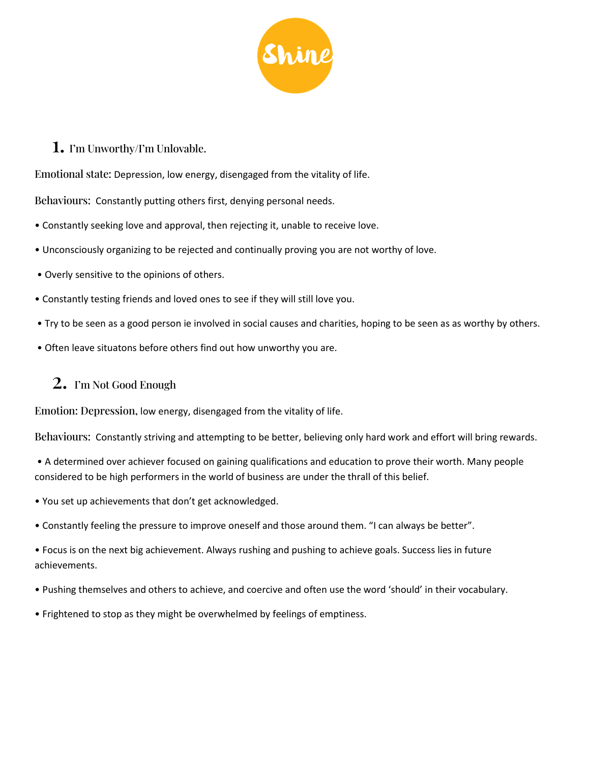![](_page_1_Picture_0.jpeg)

#### 1. I'm Unworthy/I'm Unlovable.

Emotional state: Depression, low energy, disengaged from the vitality of life.

Behaviours: Constantly putting others first, denying personal needs.

- Constantly seeking love and approval, then rejecting it, unable to receive love.
- Unconsciously organizing to be rejected and continually proving you are not worthy of love.
- Overly sensitive to the opinions of others.
- Constantly testing friends and loved ones to see if they will still love you.
- Try to be seen as a good person ie involved in social causes and charities, hoping to be seen as as worthy by others.
- Often leave situatons before others find out how unworthy you are.

### 2. I'm Not Good Enough

Emotion: Depression, low energy, disengaged from the vitality of life.

Behaviours: Constantly striving and attempting to be better, believing only hard work and effort will bring rewards.

• A determined over achiever focused on gaining qualifications and education to prove their worth. Many people considered to be high performers in the world of business are under the thrall of this belief.

- You set up achievements that don't get acknowledged.
- Constantly feeling the pressure to improve oneself and those around them. "I can always be better".

• Focus is on the next big achievement. Always rushing and pushing to achieve goals. Success lies in future achievements.

- Pushing themselves and others to achieve, and coercive and often use the word 'should' in their vocabulary.
- Frightened to stop as they might be overwhelmed by feelings of emptiness.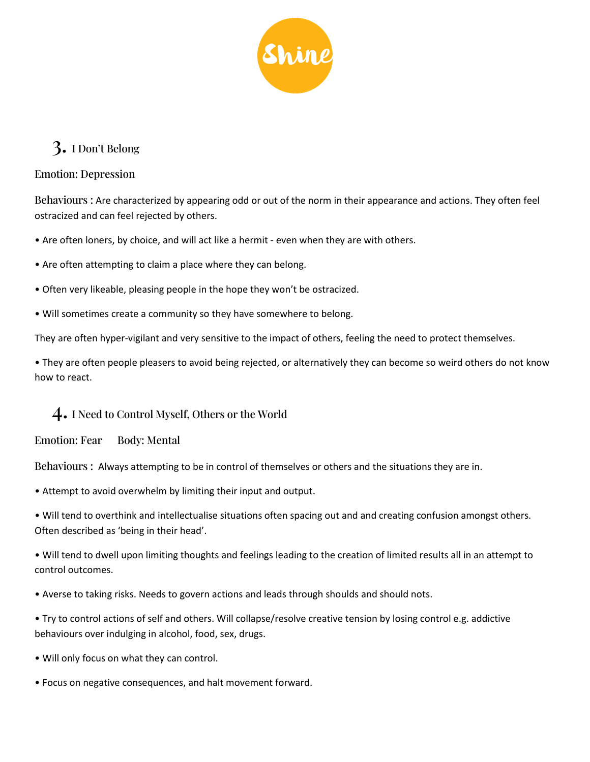![](_page_2_Picture_0.jpeg)

### 3. I Don't Belong

#### Emotion: Depression

Behaviours : Are characterized by appearing odd or out of the norm in their appearance and actions. They often feel ostracized and can feel rejected by others.

- Are often loners, by choice, and will act like a hermit even when they are with others.
- Are often attempting to claim a place where they can belong.
- Often very likeable, pleasing people in the hope they won't be ostracized.
- Will sometimes create a community so they have somewhere to belong.

They are often hyper-vigilant and very sensitive to the impact of others, feeling the need to protect themselves.

• They are often people pleasers to avoid being rejected, or alternatively they can become so weird others do not know how to react.

### 4. I Need to Control Myself, Others or the World

Emotion: Fear Body: Mental

Behaviours : Always attempting to be in control of themselves or others and the situations they are in.

• Attempt to avoid overwhelm by limiting their input and output.

• Will tend to overthink and intellectualise situations often spacing out and and creating confusion amongst others. Often described as 'being in their head'.

• Will tend to dwell upon limiting thoughts and feelings leading to the creation of limited results all in an attempt to control outcomes.

• Averse to taking risks. Needs to govern actions and leads through shoulds and should nots.

• Try to control actions of self and others. Will collapse/resolve creative tension by losing control e.g. addictive behaviours over indulging in alcohol, food, sex, drugs.

- Will only focus on what they can control.
- Focus on negative consequences, and halt movement forward.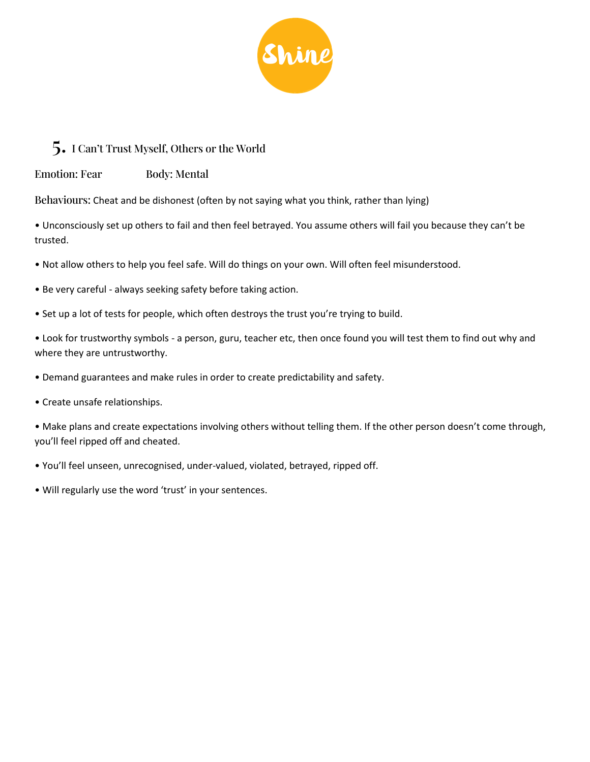![](_page_3_Picture_0.jpeg)

### 5. I Can't Trust Myself, Others or the World

Emotion: Fear Body: Mental

Behaviours: Cheat and be dishonest (often by not saying what you think, rather than lying)

• Unconsciously set up others to fail and then feel betrayed. You assume others will fail you because they can't be trusted.

- Not allow others to help you feel safe. Will do things on your own. Will often feel misunderstood.
- Be very careful always seeking safety before taking action.
- Set up a lot of tests for people, which often destroys the trust you're trying to build.

• Look for trustworthy symbols - a person, guru, teacher etc, then once found you will test them to find out why and where they are untrustworthy.

- Demand guarantees and make rules in order to create predictability and safety.
- Create unsafe relationships.

• Make plans and create expectations involving others without telling them. If the other person doesn't come through, you'll feel ripped off and cheated.

- You'll feel unseen, unrecognised, under-valued, violated, betrayed, ripped off.
- Will regularly use the word 'trust' in your sentences.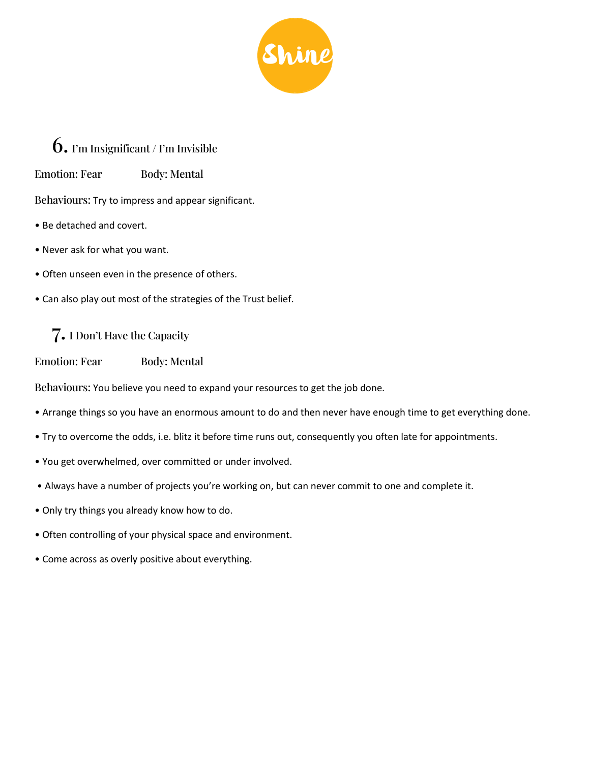![](_page_4_Picture_0.jpeg)

### 6. I'm Insignificant / I'm Invisible

Emotion: Fear Body: Mental

Behaviours: Try to impress and appear significant.

- Be detached and covert.
- Never ask for what you want.
- Often unseen even in the presence of others.
- Can also play out most of the strategies of the Trust belief.

### 7. I Don't Have the Capacity

Emotion: Fear Body: Mental

Behaviours: You believe you need to expand your resources to get the job done.

- Arrange things so you have an enormous amount to do and then never have enough time to get everything done.
- Try to overcome the odds, i.e. blitz it before time runs out, consequently you often late for appointments.
- You get overwhelmed, over committed or under involved.
- Always have a number of projects you're working on, but can never commit to one and complete it.
- Only try things you already know how to do.
- Often controlling of your physical space and environment.
- Come across as overly positive about everything.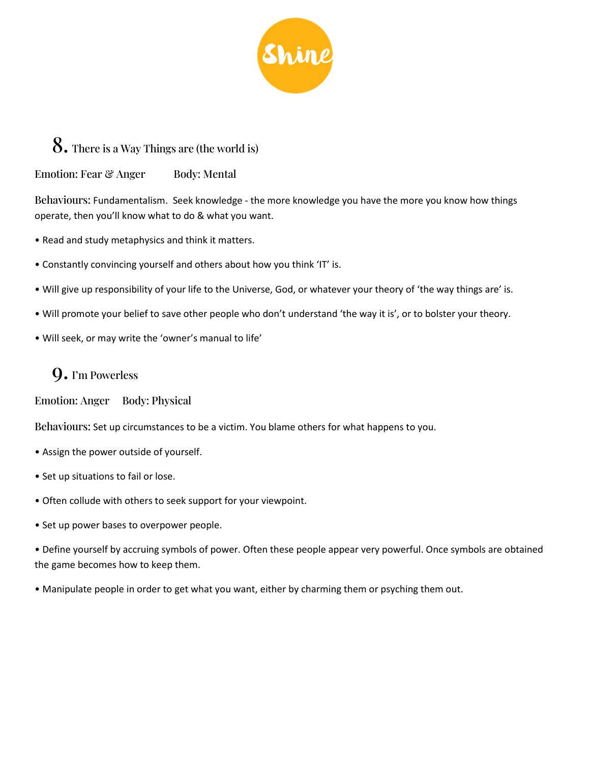![](_page_5_Picture_0.jpeg)

## 8. There is a Way Things are (the world is)

Emotion: Fear & Anger Body: Mental

Behaviours: Fundamentalism. Seek knowledge - the more knowledge you have the more you know how things operate, then you'll know what to do & what you want.

- Read and study metaphysics and think it matters.
- Constantly convincing yourself and others about how you think 'IT' is.
- Will give up responsibility of your life to the Universe, God, or whatever your theory of 'the way things are' is.
- Will promote your belief to save other people who don't understand 'the way it is', or to bolster your theory.
- Will seek, or may write the 'owner's manual to life'

### 9. I'm Powerless

Emotion: Anger Body: Physical

Behaviours: Set up circumstances to be a victim. You blame others for what happens to you.

- Assign the power outside of yourself.
- Set up situations to fail or lose.
- Often collude with others to seek support for your viewpoint.
- Set up power bases to overpower people.

• Define yourself by accruing symbols of power. Often these people appear very powerful. Once symbols are obtained the game becomes how to keep them.

• Manipulate people in order to get what you want, either by charming them or psyching them out.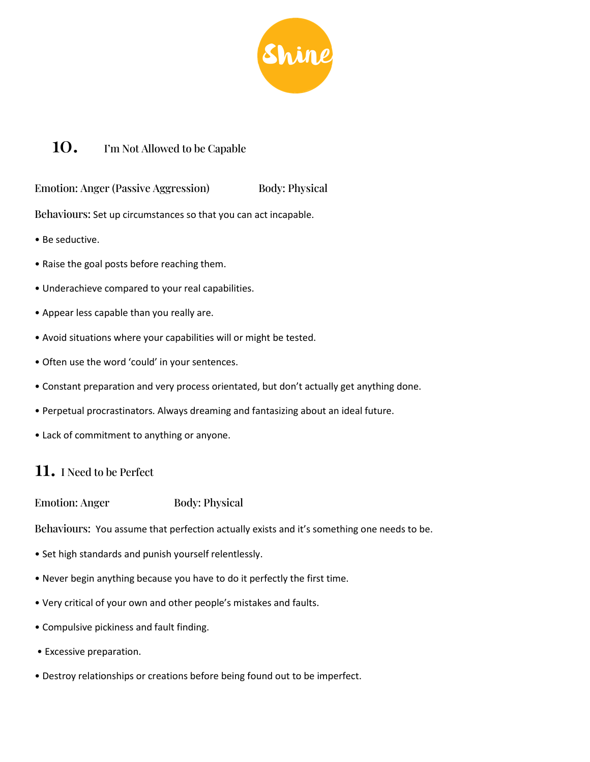![](_page_6_Picture_0.jpeg)

### 10. I'm Not Allowed to be Capable

Emotion: Anger (Passive Aggression) Body: Physical

Behaviours: Set up circumstances so that you can act incapable.

- Be seductive.
- Raise the goal posts before reaching them.
- Underachieve compared to your real capabilities.
- Appear less capable than you really are.
- Avoid situations where your capabilities will or might be tested.
- Often use the word 'could' in your sentences.
- Constant preparation and very process orientated, but don't actually get anything done.
- Perpetual procrastinators. Always dreaming and fantasizing about an ideal future.
- Lack of commitment to anything or anyone.

### 11. I Need to be Perfect

Emotion: Anger Body: Physical

Behaviours: You assume that perfection actually exists and it's something one needs to be.

- Set high standards and punish yourself relentlessly.
- Never begin anything because you have to do it perfectly the first time.
- Very critical of your own and other people's mistakes and faults.
- Compulsive pickiness and fault finding.
- Excessive preparation.
- Destroy relationships or creations before being found out to be imperfect.